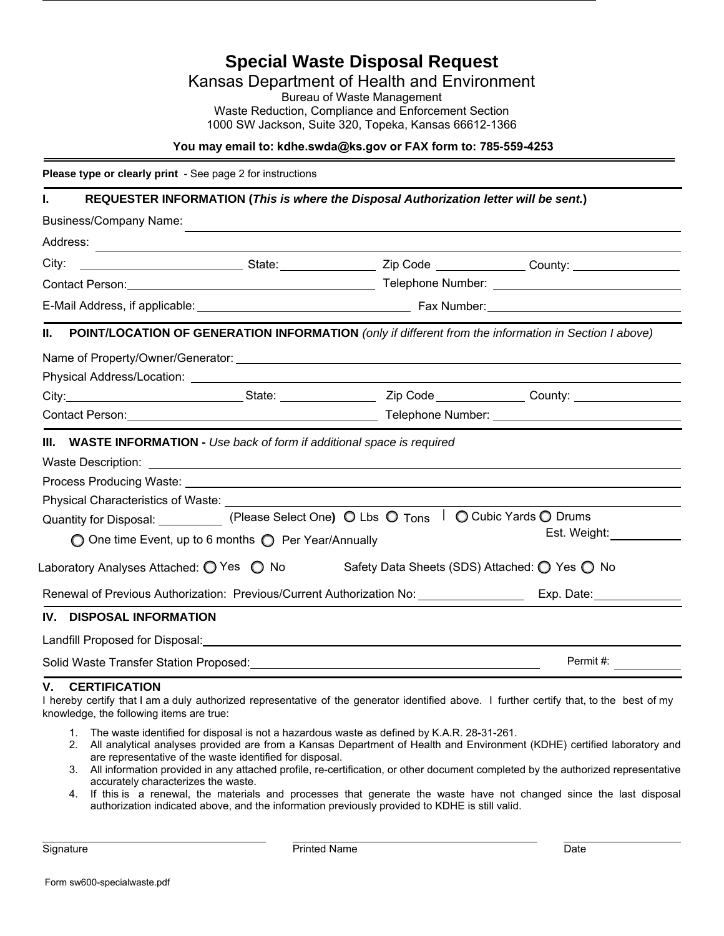**Special Waste Disposal Request**  Kansas Department of Health and Environment Bureau of Waste Management Waste Reduction, Compliance and Enforcement Section 1000 SW Jackson, Suite 320, Topeka, Kansas 66612-1366 **You may email to: kdhe.swda@ks.gov or FAX form to: 785-559-4253 Please type or clearly print** - See page 2 for instructions **I. REQUESTER INFORMATION (***This is where the Disposal Authorization letter will be sent.***)** Business/Company Name:

State: County: Zip Code \_\_\_\_\_\_\_\_\_\_\_\_\_\_\_\_\_\_\_\_\_\_\_\_County: Telephone Number: Address: City: Contact Person: E-Mail Address, if applicable: Fax Number: **II. POINT/LOCATION OF GENERATION INFORMATION** *(only if different from the information in Section I above)* State: Zip Code County: Name of Property/Owner/Generator: Physical Address/Location: City: Contact Person: Telephone Number: **III. WASTE INFORMATION -** *Use back of form if additional space is required* Waste Description: Process Producing Waste: Physical Characteristics of Waste: Quantity for Disposal: \_\_\_\_\_\_\_\_\_\_\_(Please Select One**)**  O Lbs  O T<sub>ons</sub>  I  O Cubic Yards O Drums Laboratory Analyses Attached: ◯ Yes ◯ No Safety Data Sheets (SDS) Attached: ◯ Yes ◯ No Renewal of Previous Authorization: Previous/Current Authorization No: Exp. Date: Exp. Date: **IV. DISPOSAL INFORMATION** Landfill Proposed for Disposal: Est. Weight: Permit #: One time Event, up to 6 months  $\bigcirc$  Per Year/Annually

Solid Waste Transfer Station Proposed:

## **V. CERTIFICATION**

I hereby certify that I am a duly authorized representative of the generator identified above. I further certify that, to the best of my knowledge, the following items are true:

- 1. The waste identified for disposal is not a hazardous waste as defined by K.A.R. 28-31-261.
- 2. All analytical analyses provided are from a Kansas Department of Health and Environment (KDHE) certified laboratory and are representative of the waste identified for disposal.
- 3. All information provided in any attached profile, re-certification, or other document completed by the authorized representative accurately characterizes the waste.
- 4. If this is a renewal, the materials and processes that generate the waste have not changed since the last disposal authorization indicated above, and the information previously provided to KDHE is still valid.